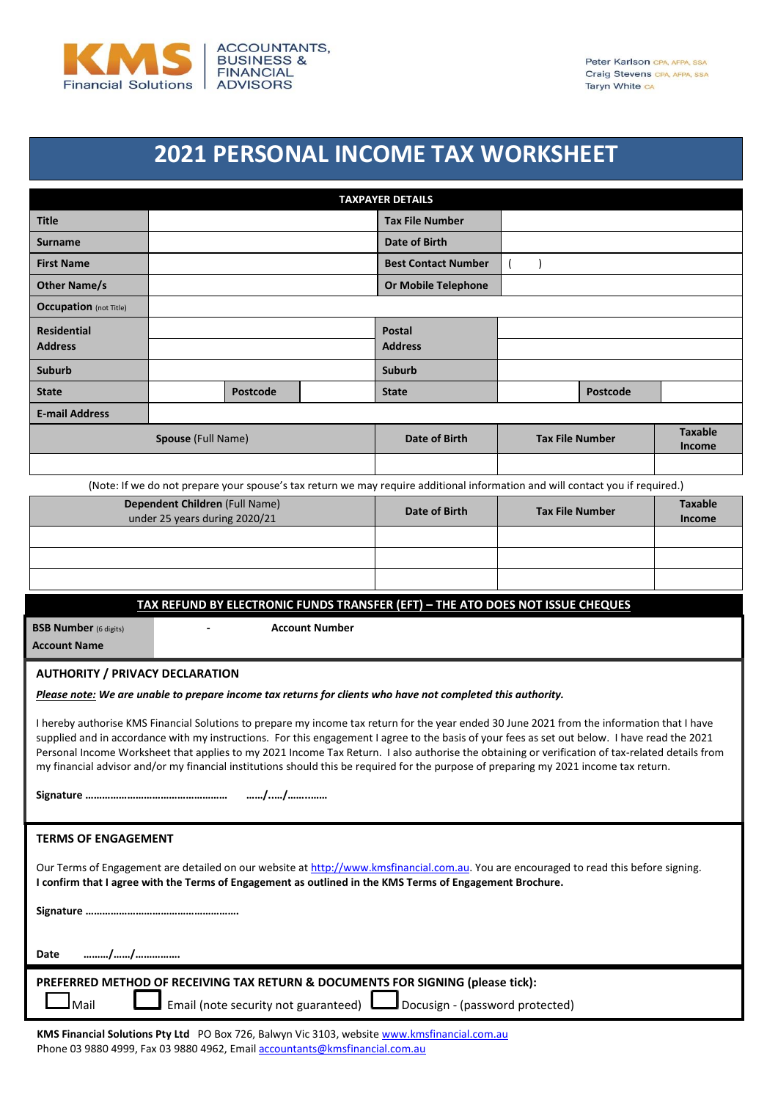

## **2021 PERSONAL INCOME TAX WORKSHEET**

|                                                                                                                                                                                                                                                                                                                                                                                                                                                                                                                                                                                          |                                                                                                                               |  | <b>TAXPAYER DETAILS</b>         |                        |                 |                                 |
|------------------------------------------------------------------------------------------------------------------------------------------------------------------------------------------------------------------------------------------------------------------------------------------------------------------------------------------------------------------------------------------------------------------------------------------------------------------------------------------------------------------------------------------------------------------------------------------|-------------------------------------------------------------------------------------------------------------------------------|--|---------------------------------|------------------------|-----------------|---------------------------------|
| <b>Title</b>                                                                                                                                                                                                                                                                                                                                                                                                                                                                                                                                                                             |                                                                                                                               |  | <b>Tax File Number</b>          |                        |                 |                                 |
| <b>Surname</b>                                                                                                                                                                                                                                                                                                                                                                                                                                                                                                                                                                           |                                                                                                                               |  | Date of Birth                   |                        |                 |                                 |
| <b>First Name</b>                                                                                                                                                                                                                                                                                                                                                                                                                                                                                                                                                                        |                                                                                                                               |  | <b>Best Contact Number</b>      |                        |                 |                                 |
| <b>Other Name/s</b>                                                                                                                                                                                                                                                                                                                                                                                                                                                                                                                                                                      |                                                                                                                               |  | <b>Or Mobile Telephone</b>      |                        |                 |                                 |
| <b>Occupation</b> (not Title)                                                                                                                                                                                                                                                                                                                                                                                                                                                                                                                                                            |                                                                                                                               |  |                                 |                        |                 |                                 |
| <b>Residential</b>                                                                                                                                                                                                                                                                                                                                                                                                                                                                                                                                                                       |                                                                                                                               |  | <b>Postal</b>                   |                        |                 |                                 |
| <b>Address</b>                                                                                                                                                                                                                                                                                                                                                                                                                                                                                                                                                                           |                                                                                                                               |  | <b>Address</b>                  |                        |                 |                                 |
| <b>Suburb</b>                                                                                                                                                                                                                                                                                                                                                                                                                                                                                                                                                                            |                                                                                                                               |  | <b>Suburb</b>                   |                        |                 |                                 |
| <b>State</b>                                                                                                                                                                                                                                                                                                                                                                                                                                                                                                                                                                             | Postcode                                                                                                                      |  | <b>State</b>                    |                        | <b>Postcode</b> |                                 |
| <b>E-mail Address</b>                                                                                                                                                                                                                                                                                                                                                                                                                                                                                                                                                                    |                                                                                                                               |  |                                 |                        |                 |                                 |
|                                                                                                                                                                                                                                                                                                                                                                                                                                                                                                                                                                                          | Spouse (Full Name)                                                                                                            |  | Date of Birth                   | <b>Tax File Number</b> |                 | <b>Taxable</b><br><b>Income</b> |
|                                                                                                                                                                                                                                                                                                                                                                                                                                                                                                                                                                                          |                                                                                                                               |  |                                 |                        |                 |                                 |
|                                                                                                                                                                                                                                                                                                                                                                                                                                                                                                                                                                                          | (Note: If we do not prepare your spouse's tax return we may require additional information and will contact you if required.) |  |                                 |                        |                 |                                 |
|                                                                                                                                                                                                                                                                                                                                                                                                                                                                                                                                                                                          | Dependent Children (Full Name)                                                                                                |  | Date of Birth                   | <b>Tax File Number</b> |                 | <b>Taxable</b>                  |
|                                                                                                                                                                                                                                                                                                                                                                                                                                                                                                                                                                                          | under 25 years during 2020/21                                                                                                 |  |                                 |                        |                 | Income                          |
|                                                                                                                                                                                                                                                                                                                                                                                                                                                                                                                                                                                          |                                                                                                                               |  |                                 |                        |                 |                                 |
|                                                                                                                                                                                                                                                                                                                                                                                                                                                                                                                                                                                          |                                                                                                                               |  |                                 |                        |                 |                                 |
|                                                                                                                                                                                                                                                                                                                                                                                                                                                                                                                                                                                          |                                                                                                                               |  |                                 |                        |                 |                                 |
|                                                                                                                                                                                                                                                                                                                                                                                                                                                                                                                                                                                          | TAX REFUND BY ELECTRONIC FUNDS TRANSFER (EFT) - THE ATO DOES NOT ISSUE CHEQUES                                                |  |                                 |                        |                 |                                 |
| <b>BSB Number</b> (6 digits)<br><b>Account Number</b><br><b>Account Name</b>                                                                                                                                                                                                                                                                                                                                                                                                                                                                                                             |                                                                                                                               |  |                                 |                        |                 |                                 |
| <b>AUTHORITY / PRIVACY DECLARATION</b>                                                                                                                                                                                                                                                                                                                                                                                                                                                                                                                                                   |                                                                                                                               |  |                                 |                        |                 |                                 |
| Please note: We are unable to prepare income tax returns for clients who have not completed this authority.                                                                                                                                                                                                                                                                                                                                                                                                                                                                              |                                                                                                                               |  |                                 |                        |                 |                                 |
| I hereby authorise KMS Financial Solutions to prepare my income tax return for the year ended 30 June 2021 from the information that I have<br>supplied and in accordance with my instructions. For this engagement I agree to the basis of your fees as set out below. I have read the 2021<br>Personal Income Worksheet that applies to my 2021 Income Tax Return. I also authorise the obtaining or verification of tax-related details from<br>my financial advisor and/or my financial institutions should this be required for the purpose of preparing my 2021 income tax return. |                                                                                                                               |  |                                 |                        |                 |                                 |
|                                                                                                                                                                                                                                                                                                                                                                                                                                                                                                                                                                                          |                                                                                                                               |  |                                 |                        |                 |                                 |
| <b>TERMS OF ENGAGEMENT</b>                                                                                                                                                                                                                                                                                                                                                                                                                                                                                                                                                               |                                                                                                                               |  |                                 |                        |                 |                                 |
| Our Terms of Engagement are detailed on our website at http://www.kmsfinancial.com.au. You are encouraged to read this before signing.<br>I confirm that I agree with the Terms of Engagement as outlined in the KMS Terms of Engagement Brochure.                                                                                                                                                                                                                                                                                                                                       |                                                                                                                               |  |                                 |                        |                 |                                 |
|                                                                                                                                                                                                                                                                                                                                                                                                                                                                                                                                                                                          |                                                                                                                               |  |                                 |                        |                 |                                 |
| //<br>Date                                                                                                                                                                                                                                                                                                                                                                                                                                                                                                                                                                               |                                                                                                                               |  |                                 |                        |                 |                                 |
|                                                                                                                                                                                                                                                                                                                                                                                                                                                                                                                                                                                          |                                                                                                                               |  |                                 |                        |                 |                                 |
| Mail                                                                                                                                                                                                                                                                                                                                                                                                                                                                                                                                                                                     | PREFERRED METHOD OF RECEIVING TAX RETURN & DOCUMENTS FOR SIGNING (please tick):<br>Email (note security not guaranteed)       |  | Docusign - (password protected) |                        |                 |                                 |

KMS Financial Solutions Pty Ltd PO Box 726, Balwyn Vic 3103, websit[e www.kmsfinancial.com.au](http://www.kmsfs.com.au/) Phone 03 9880 4999, Fax 03 9880 4962, Emai[l accountants@kmsfinancial.com.au](mailto:accountants@kmsfinancial.com.au)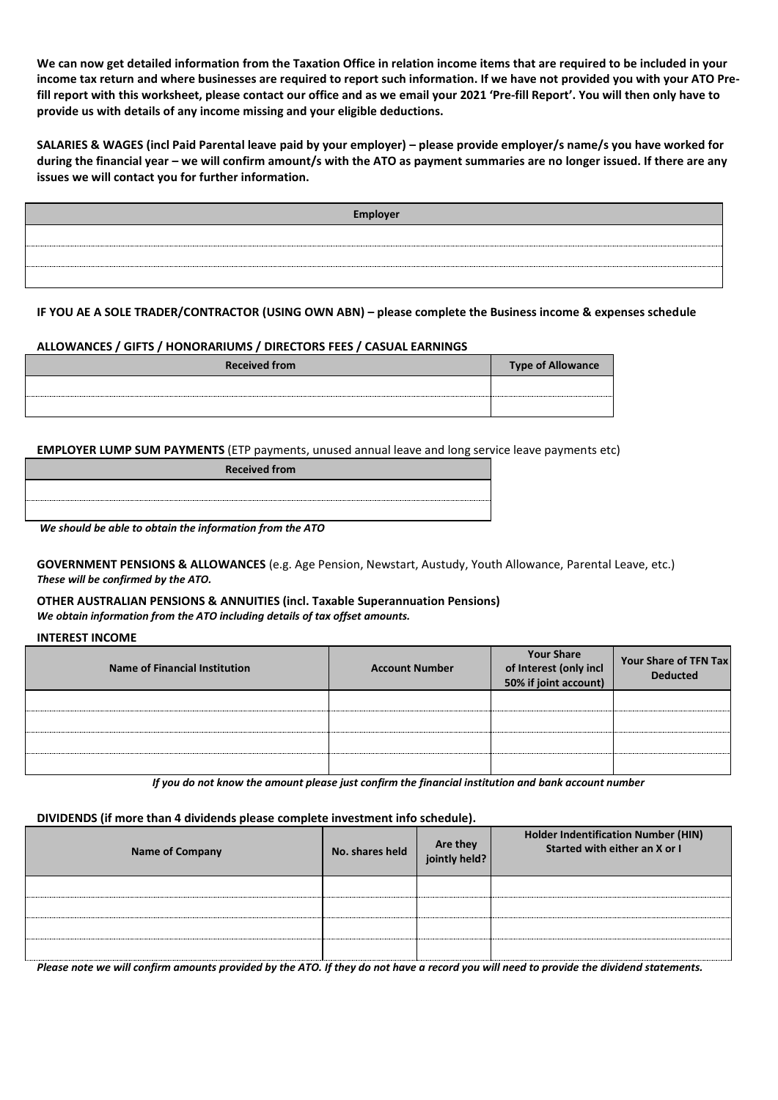**We can now get detailed information from the Taxation Office in relation income items that are required to be included in your income tax return and where businesses are required to report such information. If we have not provided you with your ATO Prefill report with this worksheet, please contact our office and as we email your 2021 'Pre-fill Report'. You will then only have to provide us with details of any income missing and your eligible deductions.**

**SALARIES & WAGES (incl Paid Parental leave paid by your employer) – please provide employer/s name/s you have worked for during the financial year – we will confirm amount/s with the ATO as payment summaries are no longer issued. If there are any issues we will contact you for further information.**

| Employer |
|----------|
|          |
|          |
|          |

**IF YOU AE A SOLE TRADER/CONTRACTOR (USING OWN ABN) – please complete the Business income & expenses schedule**

#### **ALLOWANCES / GIFTS / HONORARIUMS / DIRECTORS FEES / CASUAL EARNINGS**

| <b>Received from</b> | <b>Type of Allowance</b> |
|----------------------|--------------------------|
|                      |                          |
|                      |                          |

**EMPLOYER LUMP SUM PAYMENTS** (ETP payments, unused annual leave and long service leave payments etc)

| <b>Received from</b>                                     |
|----------------------------------------------------------|
|                                                          |
|                                                          |
| We should be able to obtain the information from the ATO |

**GOVERNMENT PENSIONS & ALLOWANCES** (e.g. Age Pension, Newstart, Austudy, Youth Allowance, Parental Leave, etc.) *These will be confirmed by the ATO.*

**OTHER AUSTRALIAN PENSIONS & ANNUITIES (incl. Taxable Superannuation Pensions)** *We obtain information from the ATO including details of tax offset amounts.*

**INTEREST INCOME**

| Name of Financial Institution | <b>Account Number</b> | <b>Your Share</b><br>of Interest (only incl<br>50% if joint account) | Your Share of TFN Tax<br><b>Deducted</b> |
|-------------------------------|-----------------------|----------------------------------------------------------------------|------------------------------------------|
|                               |                       |                                                                      |                                          |
|                               |                       |                                                                      |                                          |
|                               |                       |                                                                      |                                          |
|                               |                       |                                                                      |                                          |

*If you do not know the amount please just confirm the financial institution and bank account number* 

**DIVIDENDS (if more than 4 dividends please complete investment info schedule).**

| <b>Name of Company</b> | No. shares held | Are they<br>jointly held? | <b>Holder Indentification Number (HIN)</b><br>Started with either an X or I |
|------------------------|-----------------|---------------------------|-----------------------------------------------------------------------------|
|                        |                 |                           |                                                                             |
|                        |                 |                           |                                                                             |
|                        |                 |                           |                                                                             |
|                        |                 |                           |                                                                             |

*Please note we will confirm amounts provided by the ATO. If they do not have a record you will need to provide the dividend statements.*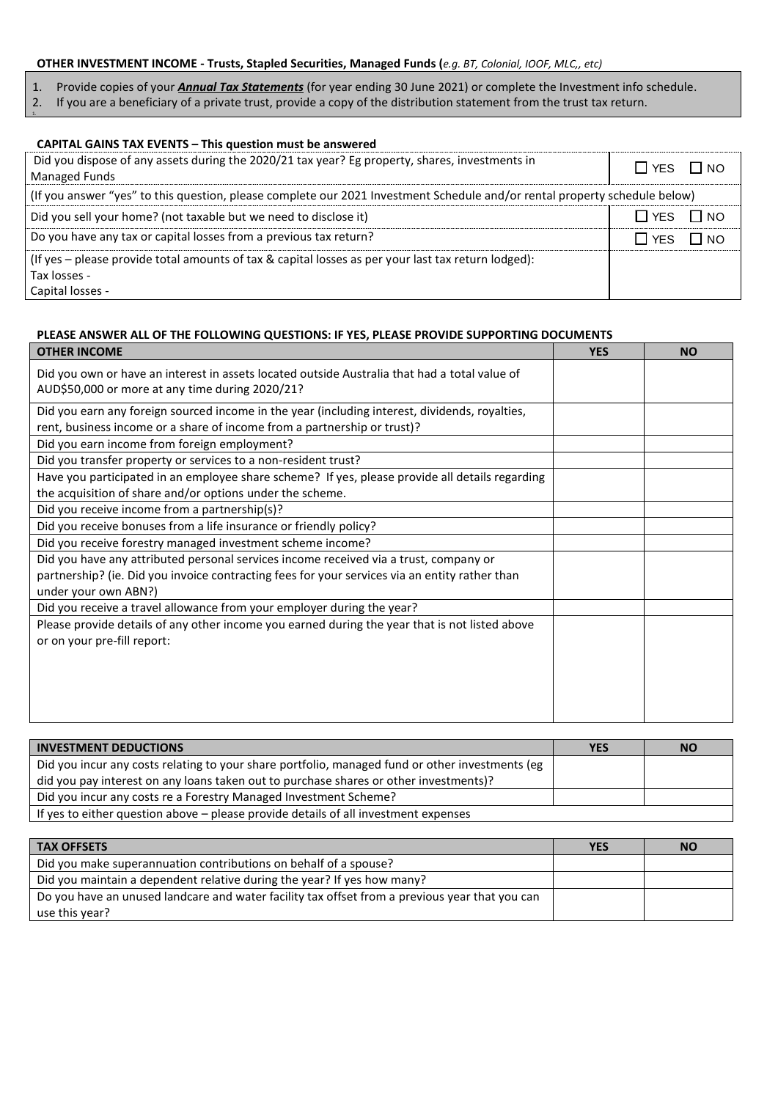#### **OTHER INVESTMENT INCOME - Trusts, Stapled Securities, Managed Funds (***e.g. BT, Colonial, IOOF, MLC,, etc)*

- 1. Provide copies of your *Annual Tax Statements* (for year ending 30 June 2021) or complete the Investment info schedule.
- 2. If you are a beneficiary of a private trust, provide a copy of the distribution statement from the trust tax return. 1.

| <b>CAPITAL GAINS TAX EVENTS - This question must be answered</b>                                                           |                     |
|----------------------------------------------------------------------------------------------------------------------------|---------------------|
| Did you dispose of any assets during the 2020/21 tax year? Eg property, shares, investments in<br><b>Managed Funds</b>     | $\Box$ NO<br>IIYES. |
| (If you answer "yes" to this question, please complete our 2021 Investment Schedule and/or rental property schedule below) |                     |
| Did you sell your home? (not taxable but we need to disclose it)                                                           | $\Box$ NO<br>I TYES |
| Do you have any tax or capital losses from a previous tax return?                                                          | $\Box$ NO<br>∏ YES  |
| (If yes - please provide total amounts of tax & capital losses as per your last tax return lodged):                        |                     |
| Tax losses -                                                                                                               |                     |
| Capital losses -                                                                                                           |                     |

### **PLEASE ANSWER ALL OF THE FOLLOWING QUESTIONS: IF YES, PLEASE PROVIDE SUPPORTING DOCUMENTS**

| <b>OTHER INCOME</b>                                                                                                                                                        | <b>YES</b> | <b>NO</b> |
|----------------------------------------------------------------------------------------------------------------------------------------------------------------------------|------------|-----------|
| Did you own or have an interest in assets located outside Australia that had a total value of<br>AUD\$50,000 or more at any time during 2020/21?                           |            |           |
| Did you earn any foreign sourced income in the year (including interest, dividends, royalties,<br>rent, business income or a share of income from a partnership or trust)? |            |           |
| Did you earn income from foreign employment?                                                                                                                               |            |           |
| Did you transfer property or services to a non-resident trust?                                                                                                             |            |           |
| Have you participated in an employee share scheme? If yes, please provide all details regarding<br>the acquisition of share and/or options under the scheme.               |            |           |
| Did you receive income from a partnership(s)?                                                                                                                              |            |           |
| Did you receive bonuses from a life insurance or friendly policy?                                                                                                          |            |           |
| Did you receive forestry managed investment scheme income?                                                                                                                 |            |           |
| Did you have any attributed personal services income received via a trust, company or                                                                                      |            |           |
| partnership? (ie. Did you invoice contracting fees for your services via an entity rather than<br>under your own ABN?)                                                     |            |           |
| Did you receive a travel allowance from your employer during the year?                                                                                                     |            |           |
| Please provide details of any other income you earned during the year that is not listed above<br>or on your pre-fill report:                                              |            |           |
|                                                                                                                                                                            |            |           |

| <b>INVESTMENT DEDUCTIONS</b>                                                                    | <b>YES</b> | <b>NO</b> |
|-------------------------------------------------------------------------------------------------|------------|-----------|
| Did you incur any costs relating to your share portfolio, managed fund or other investments (eg |            |           |
| did you pay interest on any loans taken out to purchase shares or other investments)?           |            |           |
| Did you incur any costs re a Forestry Managed Investment Scheme?                                |            |           |
| If yes to either question above – please provide details of all investment expenses             |            |           |

| <b>TAX OFFSETS</b>                                                                                               | <b>YES</b> | <b>NO</b> |
|------------------------------------------------------------------------------------------------------------------|------------|-----------|
| Did you make superannuation contributions on behalf of a spouse?                                                 |            |           |
| Did you maintain a dependent relative during the year? If yes how many?                                          |            |           |
| Do you have an unused landcare and water facility tax offset from a previous year that you can<br>use this year? |            |           |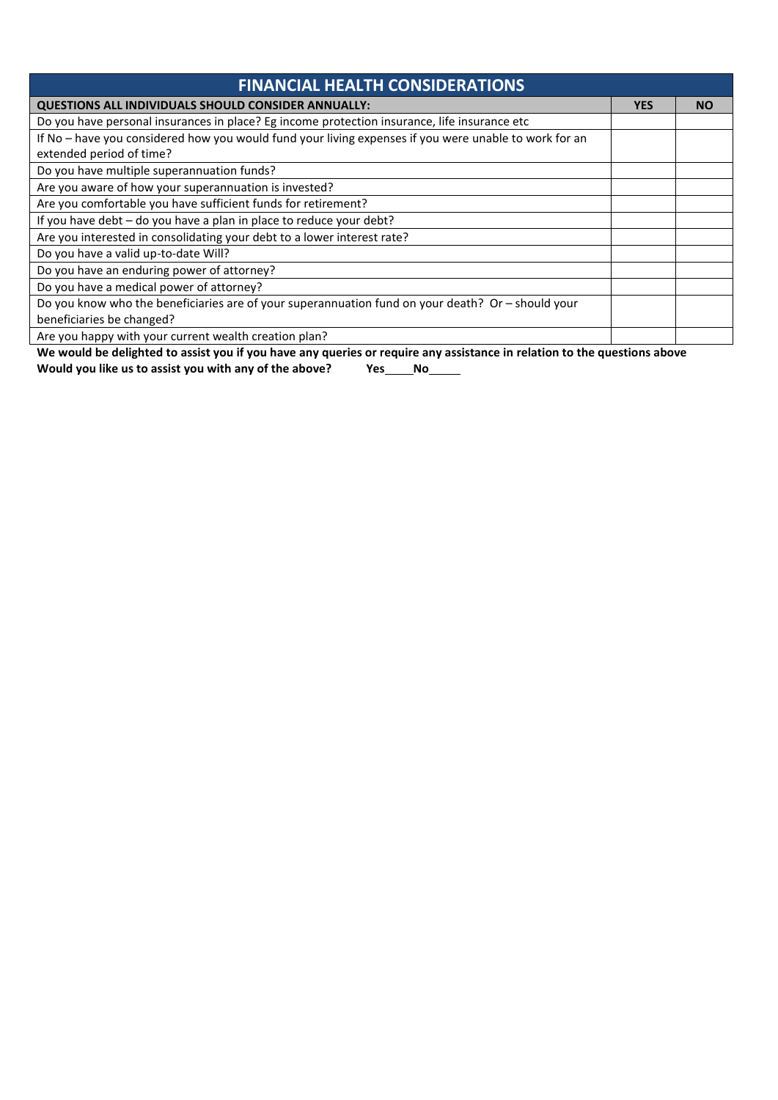| <b>FINANCIAL HEALTH CONSIDERATIONS</b>                                                                |            |           |
|-------------------------------------------------------------------------------------------------------|------------|-----------|
| QUESTIONS ALL INDIVIDUALS SHOULD CONSIDER ANNUALLY:                                                   | <b>YES</b> | <b>NO</b> |
| Do you have personal insurances in place? Eg income protection insurance, life insurance etc          |            |           |
| If No - have you considered how you would fund your living expenses if you were unable to work for an |            |           |
| extended period of time?                                                                              |            |           |
| Do you have multiple superannuation funds?                                                            |            |           |
| Are you aware of how your superannuation is invested?                                                 |            |           |
| Are you comfortable you have sufficient funds for retirement?                                         |            |           |
| If you have debt - do you have a plan in place to reduce your debt?                                   |            |           |
| Are you interested in consolidating your debt to a lower interest rate?                               |            |           |
| Do you have a valid up-to-date Will?                                                                  |            |           |
| Do you have an enduring power of attorney?                                                            |            |           |
| Do you have a medical power of attorney?                                                              |            |           |
| Do you know who the beneficiaries are of your superannuation fund on your death? Or - should your     |            |           |
| beneficiaries be changed?                                                                             |            |           |
| Are you happy with your current wealth creation plan?                                                 |            |           |

**We would be delighted to assist you if you have any queries or require any assistance in relation to the questions above**

**Would you like us to assist you with any of the above? Yes No**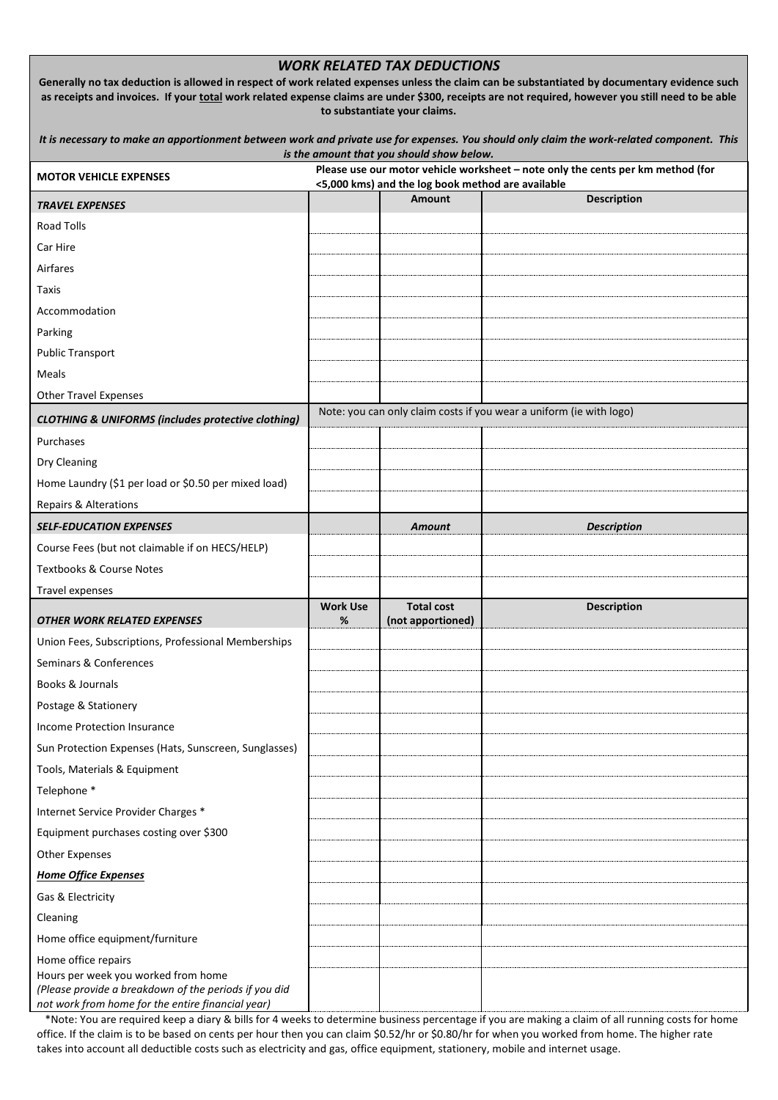|                                                                                                                                                                                                                                                                                                   |                      | <b>WORK RELATED TAX DEDUCTIONS</b>                |                                                                                 |
|---------------------------------------------------------------------------------------------------------------------------------------------------------------------------------------------------------------------------------------------------------------------------------------------------|----------------------|---------------------------------------------------|---------------------------------------------------------------------------------|
| Generally no tax deduction is allowed in respect of work related expenses unless the claim can be substantiated by documentary evidence such<br>as receipts and invoices. If your total work related expense claims are under \$300, receipts are not required, however you still need to be able |                      | to substantiate your claims.                      |                                                                                 |
| It is necessary to make an apportionment between work and private use for expenses. You should only claim the work-related component. This                                                                                                                                                        |                      | is the amount that you should show below.         |                                                                                 |
| <b>MOTOR VEHICLE EXPENSES</b>                                                                                                                                                                                                                                                                     |                      | <5,000 kms) and the log book method are available | Please use our motor vehicle worksheet - note only the cents per km method (for |
| <b>TRAVEL EXPENSES</b>                                                                                                                                                                                                                                                                            |                      | <b>Amount</b>                                     | <b>Description</b>                                                              |
| <b>Road Tolls</b>                                                                                                                                                                                                                                                                                 |                      |                                                   |                                                                                 |
| Car Hire                                                                                                                                                                                                                                                                                          |                      |                                                   |                                                                                 |
| Airfares                                                                                                                                                                                                                                                                                          |                      |                                                   |                                                                                 |
| Taxis                                                                                                                                                                                                                                                                                             |                      |                                                   |                                                                                 |
| Accommodation                                                                                                                                                                                                                                                                                     |                      |                                                   |                                                                                 |
| Parking                                                                                                                                                                                                                                                                                           |                      |                                                   |                                                                                 |
| <b>Public Transport</b>                                                                                                                                                                                                                                                                           |                      |                                                   |                                                                                 |
| Meals                                                                                                                                                                                                                                                                                             |                      |                                                   |                                                                                 |
| <b>Other Travel Expenses</b>                                                                                                                                                                                                                                                                      |                      |                                                   |                                                                                 |
| <b>CLOTHING &amp; UNIFORMS (includes protective clothing)</b>                                                                                                                                                                                                                                     |                      |                                                   | Note: you can only claim costs if you wear a uniform (ie with logo)             |
| Purchases                                                                                                                                                                                                                                                                                         |                      |                                                   |                                                                                 |
| Dry Cleaning                                                                                                                                                                                                                                                                                      |                      |                                                   |                                                                                 |
| Home Laundry (\$1 per load or \$0.50 per mixed load)                                                                                                                                                                                                                                              |                      |                                                   |                                                                                 |
| Repairs & Alterations                                                                                                                                                                                                                                                                             |                      |                                                   |                                                                                 |
| <b>SELF-EDUCATION EXPENSES</b>                                                                                                                                                                                                                                                                    |                      | <b>Amount</b>                                     | <b>Description</b>                                                              |
| Course Fees (but not claimable if on HECS/HELP)                                                                                                                                                                                                                                                   |                      |                                                   |                                                                                 |
| <b>Textbooks &amp; Course Notes</b>                                                                                                                                                                                                                                                               |                      |                                                   |                                                                                 |
| Travel expenses                                                                                                                                                                                                                                                                                   |                      |                                                   |                                                                                 |
| <b>OTHER WORK RELATED EXPENSES</b>                                                                                                                                                                                                                                                                | <b>Work Use</b><br>% | <b>Total cost</b><br>(not apportioned)            | <b>Description</b>                                                              |
| Union Fees, Subscriptions, Professional Memberships                                                                                                                                                                                                                                               |                      |                                                   |                                                                                 |
| Seminars & Conferences                                                                                                                                                                                                                                                                            |                      |                                                   |                                                                                 |
| Books & Journals                                                                                                                                                                                                                                                                                  |                      |                                                   |                                                                                 |
| Postage & Stationery                                                                                                                                                                                                                                                                              |                      |                                                   |                                                                                 |
| Income Protection Insurance                                                                                                                                                                                                                                                                       |                      |                                                   |                                                                                 |
| Sun Protection Expenses (Hats, Sunscreen, Sunglasses)                                                                                                                                                                                                                                             |                      |                                                   |                                                                                 |
| Tools, Materials & Equipment                                                                                                                                                                                                                                                                      |                      |                                                   |                                                                                 |
| Telephone *                                                                                                                                                                                                                                                                                       |                      |                                                   |                                                                                 |
| Internet Service Provider Charges *                                                                                                                                                                                                                                                               |                      |                                                   |                                                                                 |
| Equipment purchases costing over \$300                                                                                                                                                                                                                                                            |                      |                                                   |                                                                                 |
| <b>Other Expenses</b>                                                                                                                                                                                                                                                                             |                      |                                                   |                                                                                 |
| <b>Home Office Expenses</b>                                                                                                                                                                                                                                                                       |                      |                                                   |                                                                                 |
| Gas & Electricity                                                                                                                                                                                                                                                                                 |                      |                                                   |                                                                                 |
| Cleaning                                                                                                                                                                                                                                                                                          |                      |                                                   |                                                                                 |
| Home office equipment/furniture                                                                                                                                                                                                                                                                   |                      |                                                   |                                                                                 |
| Home office repairs                                                                                                                                                                                                                                                                               |                      |                                                   |                                                                                 |
| Hours per week you worked from home<br>(Please provide a breakdown of the periods if you did<br>not work from home for the entire financial year)                                                                                                                                                 |                      |                                                   |                                                                                 |

 \*Note: You are required keep a diary & bills for 4 weeks to determine business percentage if you are making a claim of all running costs for home office. If the claim is to be based on cents per hour then you can claim \$0.52/hr or \$0.80/hr for when you worked from home. The higher rate takes into account all deductible costs such as electricity and gas, office equipment, stationery, mobile and internet usage.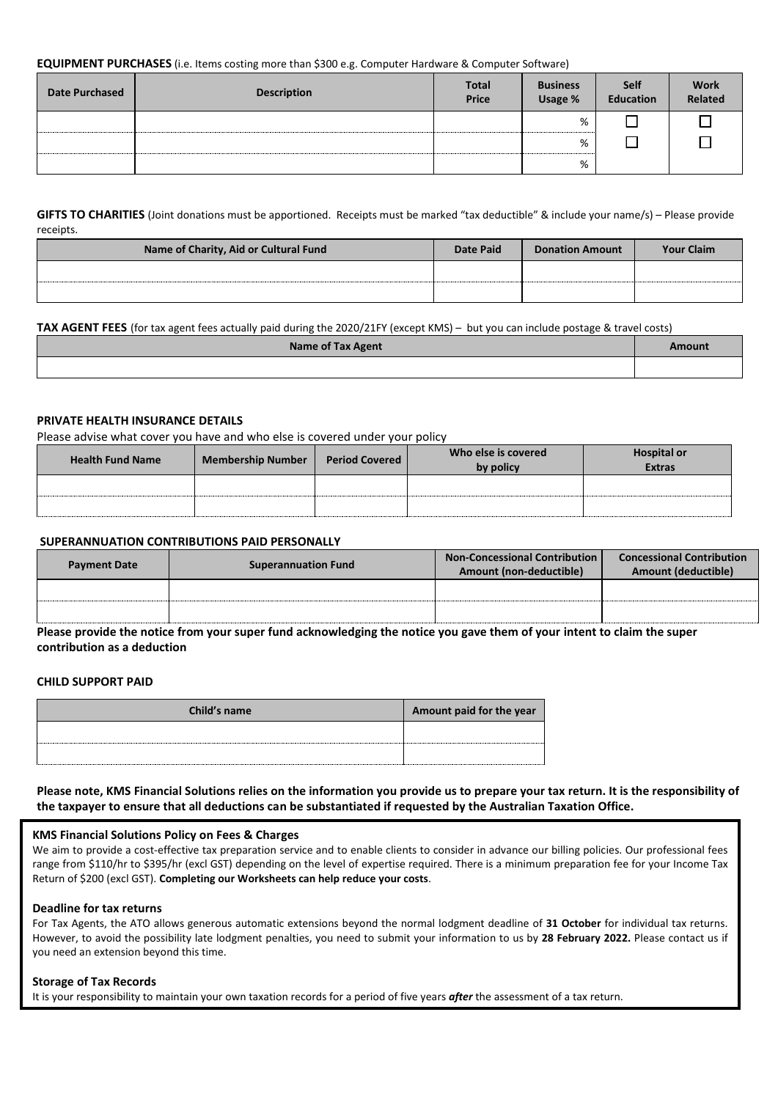#### **EQUIPMENT PURCHASES** (i.e. Items costing more than \$300 e.g. Computer Hardware & Computer Software)

| <b>Date Purchased</b> | <b>Description</b> | <b>Total</b><br>Price | <b>Business</b><br>Usage % | <b>Self</b><br><b>Education</b> | <b>Work</b><br>Related |
|-----------------------|--------------------|-----------------------|----------------------------|---------------------------------|------------------------|
|                       |                    |                       | %                          |                                 |                        |
|                       |                    |                       | %                          |                                 |                        |
|                       |                    |                       | %                          |                                 |                        |

#### **GIFTS TO CHARITIES** (Joint donations must be apportioned. Receipts must be marked "tax deductible" & include your name/s) – Please provide receipts.

| Name of Charity, Aid or Cultural Fund | Date Paid | <b>Donation Amount</b> | <b>Your Claim</b> |
|---------------------------------------|-----------|------------------------|-------------------|
|                                       |           |                        |                   |
|                                       |           |                        |                   |

#### **TAX AGENT FEES** (for tax agent fees actually paid during the 2020/21FY (except KMS) – but you can include postage & travel costs)

| <b>Name of Tax Agent</b> | Amount |
|--------------------------|--------|
|                          |        |

#### **PRIVATE HEALTH INSURANCE DETAILS**

Please advise what cover you have and who else is covered under your policy

| <b>Health Fund Name</b> | <b>Membership Number</b> | <b>Period Covered</b> | Who else is covered<br>by policy | <b>Hospital or</b><br><b>Extras</b> |
|-------------------------|--------------------------|-----------------------|----------------------------------|-------------------------------------|
|                         |                          |                       |                                  |                                     |
|                         |                          |                       |                                  |                                     |

#### **SUPERANNUATION CONTRIBUTIONS PAID PERSONALLY**

| <b>Payment Date</b> | <b>Superannuation Fund</b> | <b>Non-Concessional Contribution  </b><br>Amount (non-deductible) | <b>Concessional Contribution</b><br>Amount (deductible) |
|---------------------|----------------------------|-------------------------------------------------------------------|---------------------------------------------------------|
|                     |                            |                                                                   |                                                         |
|                     |                            |                                                                   |                                                         |

**Please provide the notice from your super fund acknowledging the notice you gave them of your intent to claim the super contribution as a deduction**

#### **CHILD SUPPORT PAID**

| Child's name | Amount paid for the year |
|--------------|--------------------------|
|              |                          |
|              |                          |

**Please note, KMS Financial Solutions relies on the information you provide us to prepare your tax return. It is the responsibility of the taxpayer to ensure that all deductions can be substantiated if requested by the Australian Taxation Office.** 

#### **KMS Financial Solutions Policy on Fees & Charges**

We aim to provide a cost-effective tax preparation service and to enable clients to consider in advance our billing policies. Our professional fees range from \$110/hr to \$395/hr (excl GST) depending on the level of expertise required. There is a minimum preparation fee for your Income Tax Return of \$200 (excl GST). **Completing our Worksheets can help reduce your costs**.

#### **Deadline for tax returns**

For Tax Agents, the ATO allows generous automatic extensions beyond the normal lodgment deadline of **31 October** for individual tax returns. However, to avoid the possibility late lodgment penalties, you need to submit your information to us by **28 February 2022.** Please contact us if you need an extension beyond this time.

#### **Storage of Tax Records**

It is your responsibility to maintain your own taxation records for a period of five years *after* the assessment of a tax return.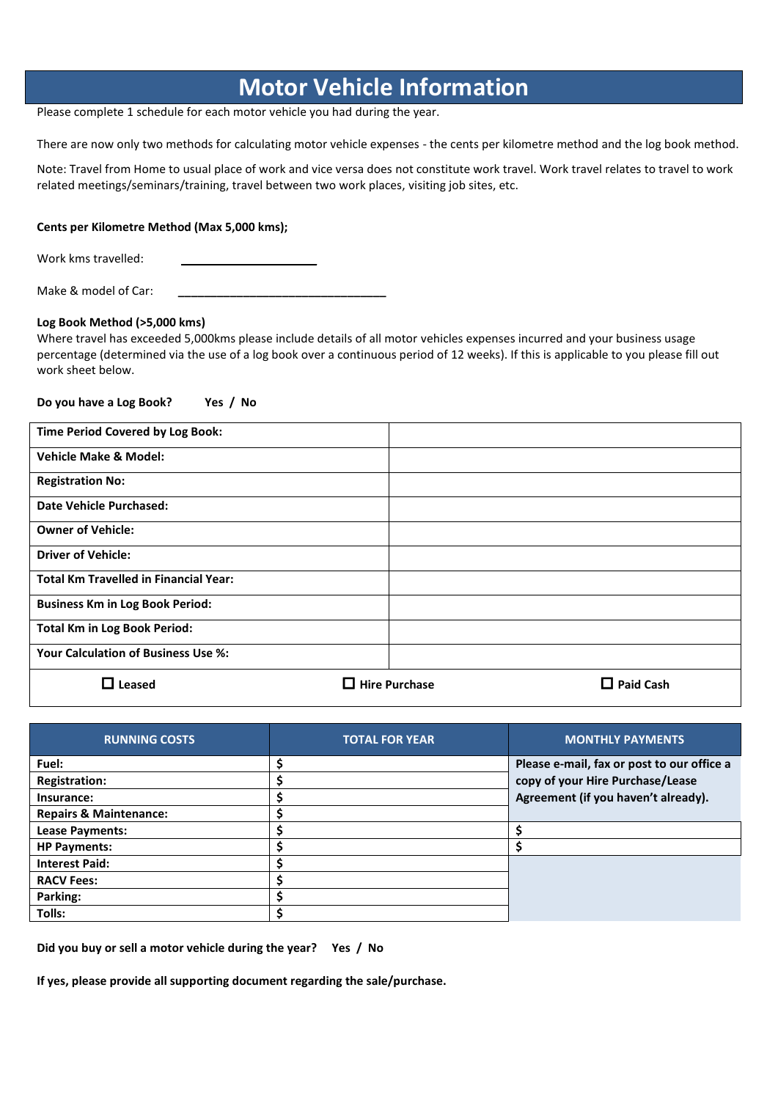### **Motor Vehicle Information**

Please complete 1 schedule for each motor vehicle you had during the year.

There are now only two methods for calculating motor vehicle expenses - the cents per kilometre method and the log book method.

Note: Travel from Home to usual place of work and vice versa does not constitute work travel. Work travel relates to travel to work related meetings/seminars/training, travel between two work places, visiting job sites, etc.

#### **Cents per Kilometre Method (Max 5,000 kms);**

Work kms travelled:

Make & model of Car: **\_\_\_\_\_\_\_\_\_\_\_\_\_\_\_\_\_\_\_\_\_\_\_\_\_\_\_\_\_\_\_\_**

#### **Log Book Method (>5,000 kms)**

Where travel has exceeded 5,000kms please include details of all motor vehicles expenses incurred and your business usage percentage (determined via the use of a log book over a continuous period of 12 weeks). If this is applicable to you please fill out work sheet below.

**Do you have a Log Book? Yes / No**

| Time Period Covered by Log Book:             |                           |                  |
|----------------------------------------------|---------------------------|------------------|
| <b>Vehicle Make &amp; Model:</b>             |                           |                  |
| <b>Registration No:</b>                      |                           |                  |
| <b>Date Vehicle Purchased:</b>               |                           |                  |
| <b>Owner of Vehicle:</b>                     |                           |                  |
| <b>Driver of Vehicle:</b>                    |                           |                  |
| <b>Total Km Travelled in Financial Year:</b> |                           |                  |
| <b>Business Km in Log Book Period:</b>       |                           |                  |
| <b>Total Km in Log Book Period:</b>          |                           |                  |
| <b>Your Calculation of Business Use %:</b>   |                           |                  |
| $\Box$ Leased                                | <b>Hire Purchase</b><br>┓ | <b>Paid Cash</b> |

| <b>RUNNING COSTS</b>              | <b>TOTAL FOR YEAR</b> | <b>MONTHLY PAYMENTS</b>                    |
|-----------------------------------|-----------------------|--------------------------------------------|
| Fuel:                             |                       | Please e-mail, fax or post to our office a |
| <b>Registration:</b>              |                       | copy of your Hire Purchase/Lease           |
| Insurance:                        |                       | Agreement (if you haven't already).        |
| <b>Repairs &amp; Maintenance:</b> |                       |                                            |
| Lease Payments:                   |                       |                                            |
| <b>HP Payments:</b>               |                       |                                            |
| <b>Interest Paid:</b>             |                       |                                            |
| <b>RACV Fees:</b>                 |                       |                                            |
| Parking:                          |                       |                                            |
| Tolls:                            |                       |                                            |

**Did you buy or sell a motor vehicle during the year? Yes / No**

**If yes, please provide all supporting document regarding the sale/purchase.**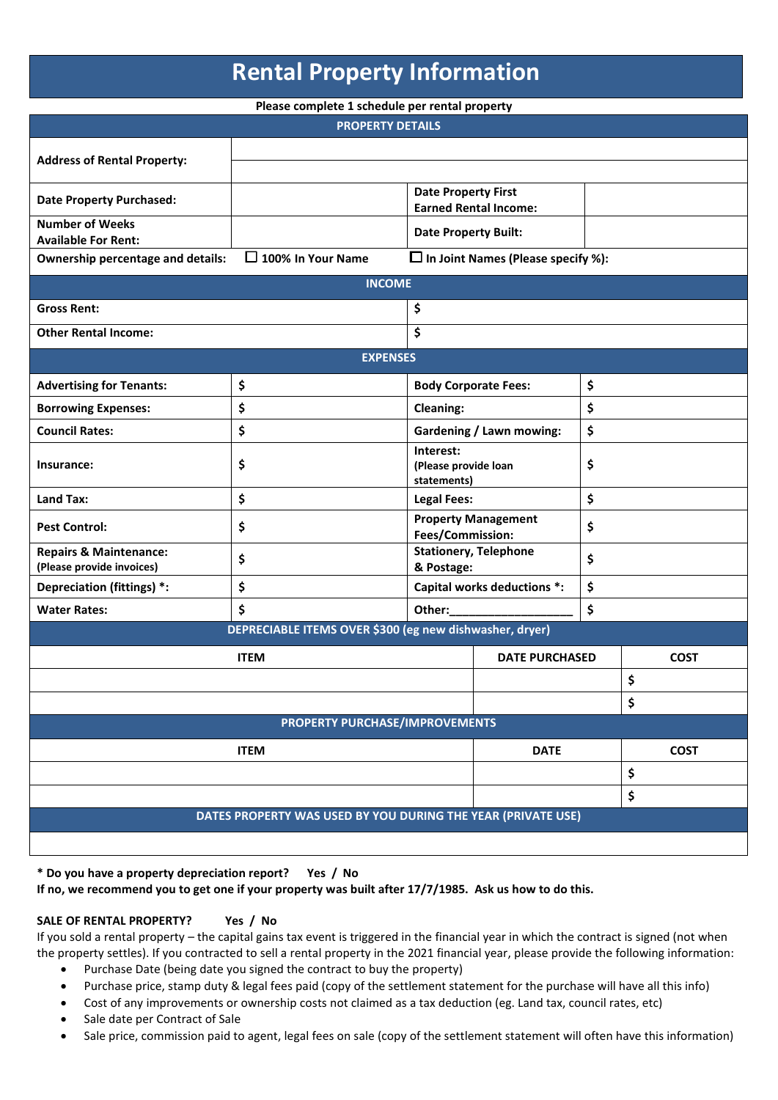## **Rental Property Information**

**Please complete 1 schedule per rental property**

| $\frac{1}{2}$ . The complete $\frac{1}{2}$ contents for the content property<br><b>PROPERTY DETAILS</b> |                                                              |                                                  |                                              |    |             |  |
|---------------------------------------------------------------------------------------------------------|--------------------------------------------------------------|--------------------------------------------------|----------------------------------------------|----|-------------|--|
|                                                                                                         |                                                              |                                                  |                                              |    |             |  |
| <b>Address of Rental Property:</b>                                                                      |                                                              |                                                  |                                              |    |             |  |
| <b>Date Property Purchased:</b>                                                                         |                                                              | <b>Date Property First</b>                       | <b>Earned Rental Income:</b>                 |    |             |  |
| <b>Number of Weeks</b>                                                                                  |                                                              | <b>Date Property Built:</b>                      |                                              |    |             |  |
| <b>Available For Rent:</b>                                                                              | $\Box$ 100% In Your Name                                     |                                                  | $\square$ In Joint Names (Please specify %): |    |             |  |
| Ownership percentage and details:                                                                       |                                                              |                                                  |                                              |    |             |  |
|                                                                                                         | <b>INCOME</b>                                                |                                                  |                                              |    |             |  |
| <b>Gross Rent:</b>                                                                                      |                                                              | \$                                               |                                              |    |             |  |
| <b>Other Rental Income:</b>                                                                             |                                                              | \$                                               |                                              |    |             |  |
|                                                                                                         | <b>EXPENSES</b>                                              |                                                  |                                              |    |             |  |
| <b>Advertising for Tenants:</b>                                                                         | \$                                                           |                                                  | <b>Body Corporate Fees:</b>                  | \$ |             |  |
| <b>Borrowing Expenses:</b>                                                                              | \$                                                           | <b>Cleaning:</b>                                 |                                              | \$ |             |  |
| <b>Council Rates:</b>                                                                                   | \$                                                           |                                                  | <b>Gardening / Lawn mowing:</b>              | \$ |             |  |
| Insurance:                                                                                              | \$                                                           | Interest:<br>(Please provide loan<br>statements) |                                              | \$ |             |  |
| Land Tax:                                                                                               | \$                                                           | <b>Legal Fees:</b>                               |                                              | \$ |             |  |
| <b>Pest Control:</b>                                                                                    | \$                                                           | Fees/Commission:                                 | <b>Property Management</b>                   | \$ |             |  |
| <b>Repairs &amp; Maintenance:</b><br>(Please provide invoices)                                          | \$                                                           | & Postage:                                       | <b>Stationery, Telephone</b>                 | \$ |             |  |
| Depreciation (fittings) *:                                                                              | \$                                                           |                                                  | Capital works deductions *:                  | \$ |             |  |
| <b>Water Rates:</b>                                                                                     | \$                                                           | Other:                                           |                                              | \$ |             |  |
|                                                                                                         | DEPRECIABLE ITEMS OVER \$300 (eg new dishwasher, dryer)      |                                                  |                                              |    |             |  |
|                                                                                                         | <b>ITEM</b>                                                  |                                                  | <b>DATE PURCHASED</b>                        |    | <b>COST</b> |  |
|                                                                                                         |                                                              |                                                  |                                              |    | \$          |  |
|                                                                                                         |                                                              |                                                  |                                              |    | \$          |  |
|                                                                                                         | PROPERTY PURCHASE/IMPROVEMENTS                               |                                                  |                                              |    |             |  |
| <b>ITEM</b>                                                                                             |                                                              |                                                  | <b>DATE</b>                                  |    | <b>COST</b> |  |
|                                                                                                         |                                                              |                                                  |                                              |    | \$          |  |
|                                                                                                         |                                                              |                                                  |                                              |    | \$          |  |
|                                                                                                         | DATES PROPERTY WAS USED BY YOU DURING THE YEAR (PRIVATE USE) |                                                  |                                              |    |             |  |
|                                                                                                         |                                                              |                                                  |                                              |    |             |  |

**\* Do you have a property depreciation report? Yes / No**

**If no, we recommend you to get one if your property was built after 17/7/1985. Ask us how to do this.**

#### **SALE OF RENTAL PROPERTY? Yes / No**

If you sold a rental property – the capital gains tax event is triggered in the financial year in which the contract is signed (not when the property settles). If you contracted to sell a rental property in the 2021 financial year, please provide the following information:

- Purchase Date (being date you signed the contract to buy the property)
- Purchase price, stamp duty & legal fees paid (copy of the settlement statement for the purchase will have all this info)
- Cost of any improvements or ownership costs not claimed as a tax deduction (eg. Land tax, council rates, etc)
- Sale date per Contract of Sale
- Sale price, commission paid to agent, legal fees on sale (copy of the settlement statement will often have this information)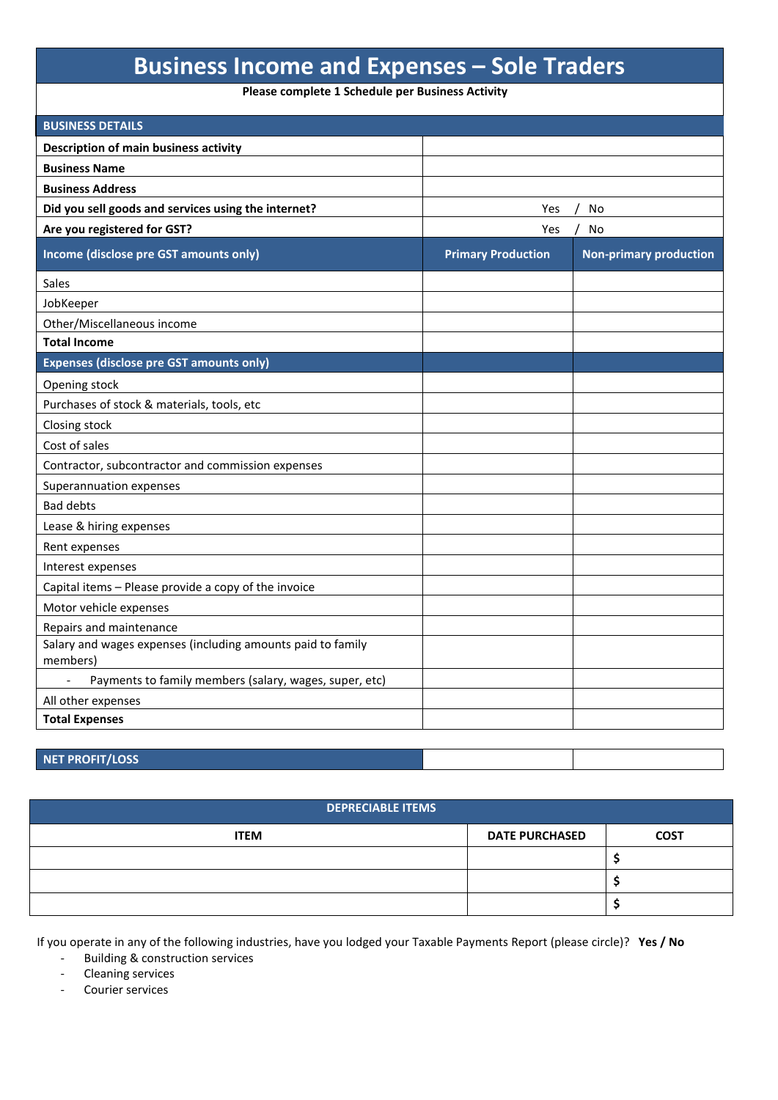### **Business Income and Expenses – Sole Traders**

**Please complete 1 Schedule per Business Activity**

| <b>BUSINESS DETAILS</b>                                                 |                           |                               |
|-------------------------------------------------------------------------|---------------------------|-------------------------------|
| Description of main business activity                                   |                           |                               |
| <b>Business Name</b>                                                    |                           |                               |
| <b>Business Address</b>                                                 |                           |                               |
| Did you sell goods and services using the internet?                     | Yes                       | No                            |
| Are you registered for GST?                                             | Yes                       | No                            |
| Income (disclose pre GST amounts only)                                  | <b>Primary Production</b> | <b>Non-primary production</b> |
| <b>Sales</b>                                                            |                           |                               |
| JobKeeper                                                               |                           |                               |
| Other/Miscellaneous income                                              |                           |                               |
| <b>Total Income</b>                                                     |                           |                               |
| <b>Expenses (disclose pre GST amounts only)</b>                         |                           |                               |
| Opening stock                                                           |                           |                               |
| Purchases of stock & materials, tools, etc                              |                           |                               |
| Closing stock                                                           |                           |                               |
| Cost of sales                                                           |                           |                               |
| Contractor, subcontractor and commission expenses                       |                           |                               |
| Superannuation expenses                                                 |                           |                               |
| <b>Bad debts</b>                                                        |                           |                               |
| Lease & hiring expenses                                                 |                           |                               |
| Rent expenses                                                           |                           |                               |
| Interest expenses                                                       |                           |                               |
| Capital items - Please provide a copy of the invoice                    |                           |                               |
| Motor vehicle expenses                                                  |                           |                               |
| Repairs and maintenance                                                 |                           |                               |
| Salary and wages expenses (including amounts paid to family<br>members) |                           |                               |
| Payments to family members (salary, wages, super, etc)                  |                           |                               |
| All other expenses                                                      |                           |                               |
| <b>Total Expenses</b>                                                   |                           |                               |
|                                                                         |                           |                               |

#### **NET PROFIT/LOSS**

| DEPRECIABLE ITEMS |                       |             |  |
|-------------------|-----------------------|-------------|--|
| <b>ITEM</b>       | <b>DATE PURCHASED</b> | <b>COST</b> |  |
|                   |                       |             |  |
|                   |                       |             |  |
|                   |                       |             |  |

If you operate in any of the following industries, have you lodged your Taxable Payments Report (please circle)? **Yes / No**

- Building & construction services

- Cleaning services

- Courier services